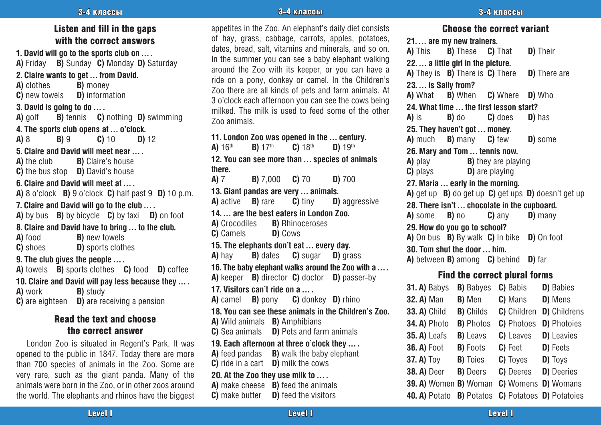#### 3-4 классы -4 3-4 классы -4 алын адабият. Энэ <mark>3-4 классы</mark> -4 классы -4 алын адабият. Энэ эргэлтэй -4 классы -4

#### Listen and fill in the gaps with the correct answers

**1. David will go to the sports club on … . A)** Friday **B)** Sunday **C)** Monday **D)** Saturday

**2. Claire wants to get … from David.**

**B)** money

**C)** new towels **D)** information

**3. David is going to do … .**

**A)** golf **B)** tennis **C)** nothing **D)** swimming

**4. The sports club opens at ... o'clock.**<br>**A)** 8 **B)** 9 **C)** 10 **D)** 12 **A)** 8 **B)** 9 **C)** 10 **D)** 12

**5. Claire and David will meet near … . A)** the club **B)** Claire's house

**C**) the bus stop **D**) David's house

**6. Claire and David will meet at … .**

**A)** 8 o'clock **B)** 9 o'clock **C)** half past 9 **D)** 10 p.m.

**7. Claire and David will go to the club … .**

**A)** by bus **B)** by bicycle **C)** by taxi **D)** on foot

**8. Claire and David have to bring ... to the club.**<br>**A**) food **B**) new towels

**B)** new towels **C)** shoes **D)** sports clothes

#### **9. The club gives the people … .**

**A)** towels **B)** sports clothes **C)** food **D)** coffee **10. Claire and David will pay less because they … . A)** work **B)** study **C**) are eighteen **D**) are receiving a pension

#### Read the text and choose the correct answer

London Zoo is situated in Regent's Park. It was opened to the public in 1847. Today there are more than 700 species of animals in the Zoo. Some are very rare, such as the giant panda. Many of the animals were born in the Zoo, or in other zoos around the world. The elephants and rhinos have the biggest

appetites in the Zoo. An elephant's daily diet consists of hay, grass, cabbage, carrots, apples, potatoes, dates, bread, salt, vitamins and minerals, and so on. In the summer you can see a baby elephant walking around the Zoo with its keeper, or you can have a ride on a pony, donkey or camel. In the Children's Zoo there are all kinds of pets and farm animals. At 3 o'clock each afternoon you can see the cows being milked. The milk is used to feed some of the other Zoo animals.

**11. London Zoo was opened in the ... century.**<br>**A)**  $16^{th}$  **B)**  $17^{th}$  **C)**  $18^{th}$  **D)**  $19^{th}$ **A)** 16th **B)** 17th **C)** 18th **D)** 19th **12. You can see more than … species of animals**  there.<br>A) 7 **A)** 7 **B)** 7,000 **C)** 70 **D)** 700 **13. Giant pandas are very ... animals.**<br>**A)** active **B)** rare **C)** tiny **D)** aggressive **A)** active **B)** rare **14. … are the best eaters in London Zoo.**<br>**A)** Crocodiles **B)** Rhinoceroses **B)** Rhinoceroses **C)** Camels **D)** Cows **15. The elephants don't eat … every day. A)** hay **B)** dates **C)** sugar **D)** grass **16. The baby elephant walks around the Zoo with a … . A)** keeper **B)** director **C)** doctor **D)** passer-by **17. Visitors can't ride on a … . A)** camel **B)** pony **C)** donkey **D)** rhino **18. You can see these animals in the Children's Zoo. A)** Wild animals **B)** Amphibians **C)** Sea animals **D)** Pets and farm animals **19. Each afternoon at three o'clock they … . A)** feed pandas **B)** walk the baby elephant **C)** ride in a cart **D)** milk the cows **20. At the Zoo they use milk to … . A)** make cheese **B)** feed the animals **C)** make butter **D)** feed the visitors

Choose the correct variant **21. … are my new trainers. A)** This **B)** These **C)** That **D)** Their **22. … a little girl in the picture. A)** They is **B)** There is **C)** There **D)** There are **23. … is Sally from? A)** What **B)** When **C)** Where **D)** Who **24. What time ... the first lesson start?**<br>**A)** is **B)** do **C)** does **D) A)** is **B)** do **C)** does **D)** has **25. They haven't got ... money.**<br>**A)** much **B)** many **C)** few **B)** many **C)** few **D**) some **26. Mary and Tom … tennis now. A)** play **B)** they are playing **C**) plays **D**) are playing **D)** are playing **27. Maria … early in the morning. A)** get up **B)** do get up **C)** get ups **D)** doesn't get up **28. There isn't ... chocolate in the cupboard.**<br>**A** some **B** no **C** any **D** many **A)** some **B)** no **29. How do you go to school? A)** On bus **B)** By walk **C)** In bike **D)** On foot **30. Tom shut the door … him. A)** between **B)** among **C)** behind **D)** far Find the correct plural forms **31. A)** Babys **B)** Babyes **C)** Babis **D)** Babies **32. A)** Man **B)** Men **C)** Mans **D)** Mens **33. A)** Child **B)** Childs **C)** Children **D)** Childrens

**34. A)** Photo **B)** Photos **C)** Photoes **D)** Photoies

**35. A)** Leafs **B)** Leavs **C)** Leaves **D)** Leavies **36. A)** Foot **B)** Foots **C)** Feet **D)** Feets **37. A)** Toy **B)** Toies **C)** Toyes **D)** Toys **38. A)** Deer **B)** Deers **C)** Deeres **D)** Deeries **39. A)** Women **B)** Woman **C)** Womens **D)** Womans **40. A)** Potato **B)** Potatos **C)** Potatoes **D)** Potatoies